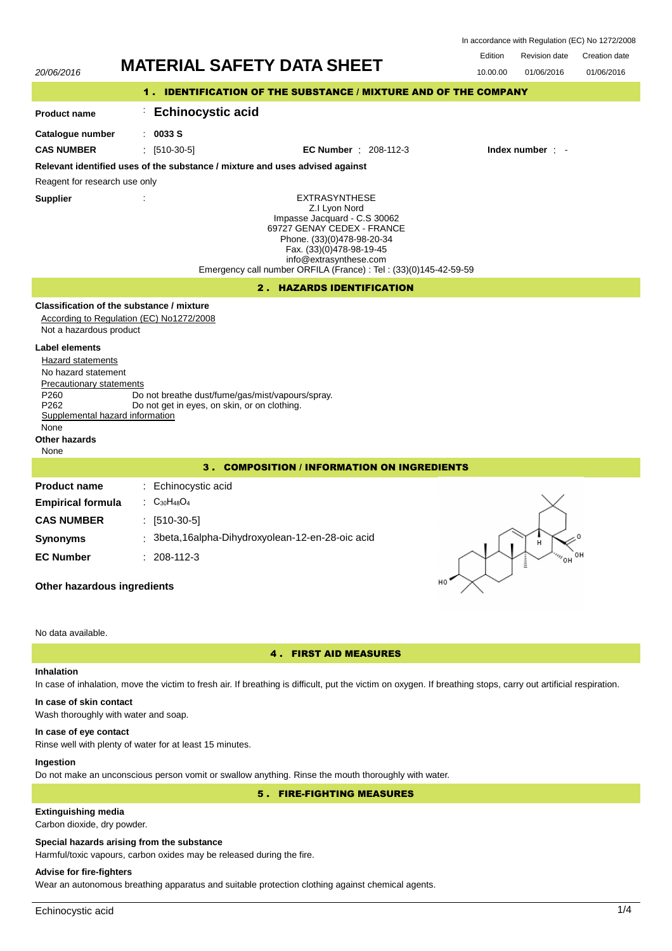| In accordance with Regulation (EC) No 1272/2008 |  |  |  |
|-------------------------------------------------|--|--|--|
|-------------------------------------------------|--|--|--|

## 20/06/2016 **MATERIAL SAFETY DATA SHEET** 10.00.00 01/06/2016 Edition Revision date Creation date 01/06/2016 1 . IDENTIFICATION OF THE SUBSTANCE / MIXTURE AND OF THE COMPANY **Product name Catalogue number** : **Echinocystic acid** : **0033 S** EXTRASYNTHESE Z.I Lyon Nord Impasse Jacquard - C.S 30062 69727 GENAY CEDEX - FRANCE Phone. (33)(0)478-98-20-34 Fax. (33)(0)478-98-19-45 info@extrasynthese.com Emergency call number ORFILA (France) : Tel : (33)(0)145-42-59-59 **Supplier** : **Relevant identified uses of the substance / mixture and uses advised against** Reagent for research use only **CAS NUMBER** : [510-30-5] **EC Number** : 208-112-3 **Index number** : - 2 . HAZARDS IDENTIFICATION **Classification of the substance / mixture** According to Regulation (EC) No1272/2008 Not a hazardous product **Label elements** Hazard statements No hazard statement Precautionary statements P260 Do not breathe dust/fume/gas/mist/vapours/spray.<br>P262 Do not get in eves, on skin, or on clothing. Do not get in eyes, on skin, or on clothing. Supplemental hazard information None **Other hazards** None 3 . COMPOSITION / INFORMATION ON INGREDIENTS **Product name Empirical formula** : Echinocystic acid : C30H48O<sup>4</sup> **CAS NUMBER** : [510-30-5] **Synonyms** : 3beta,16alpha-Dihydroxyolean-12-en-28-oic acid **EC Number** : 208-112-3 **Other hazardous ingredients** No data available. 4 . FIRST AID MEASURES

## **Inhalation**

In case of inhalation, move the victim to fresh air. If breathing is difficult, put the victim on oxygen. If breathing stops, carry out artificial respiration.

# **In case of skin contact**

Wash thoroughly with water and soap.

### **In case of eye contact**

Rinse well with plenty of water for at least 15 minutes.

## **Ingestion**

Do not make an unconscious person vomit or swallow anything. Rinse the mouth thoroughly with water.

5 . FIRE-FIGHTING MEASURES

## **Extinguishing media**

Carbon dioxide, dry powder.

### **Special hazards arising from the substance**

Harmful/toxic vapours, carbon oxides may be released during the fire.

## **Advise for fire-fighters**

Wear an autonomous breathing apparatus and suitable protection clothing against chemical agents.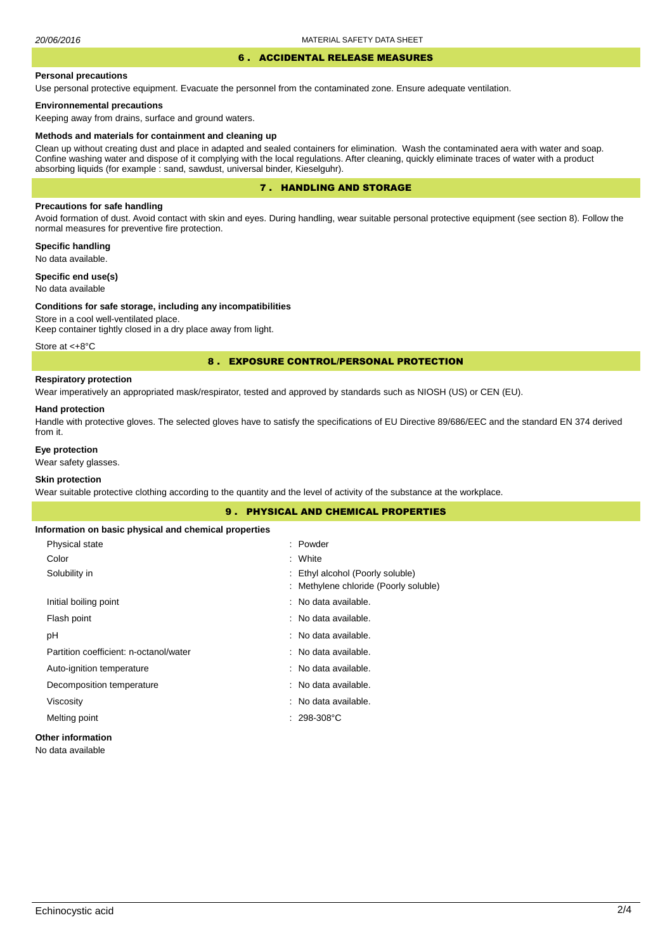#### 6 . ACCIDENTAL RELEASE MEASURES

#### **Personal precautions**

Use personal protective equipment. Evacuate the personnel from the contaminated zone. Ensure adequate ventilation.

#### **Environnemental precautions**

Keeping away from drains, surface and ground waters.

#### **Methods and materials for containment and cleaning up**

Clean up without creating dust and place in adapted and sealed containers for elimination. Wash the contaminated aera with water and soap. Confine washing water and dispose of it complying with the local regulations. After cleaning, quickly eliminate traces of water with a product absorbing liquids (for example : sand, sawdust, universal binder, Kieselguhr).

### 7 . HANDLING AND STORAGE

### **Precautions for safe handling**

Avoid formation of dust. Avoid contact with skin and eyes. During handling, wear suitable personal protective equipment (see section 8). Follow the normal measures for preventive fire protection.

**Specific handling** No data available.

**Specific end use(s)**

## No data available

#### **Conditions for safe storage, including any incompatibilities**

Store in a cool well-ventilated place. Keep container tightly closed in a dry place away from light.

Store at <+8°C

### 8 . EXPOSURE CONTROL/PERSONAL PROTECTION

### **Respiratory protection**

Wear imperatively an appropriated mask/respirator, tested and approved by standards such as NIOSH (US) or CEN (EU).

#### **Hand protection**

Handle with protective gloves. The selected gloves have to satisfy the specifications of EU Directive 89/686/EEC and the standard EN 374 derived from it.

### **Eye protection**

Wear safety glasses.

## **Skin protection**

Wear suitable protective clothing according to the quantity and the level of activity of the substance at the workplace.

|                                                       | <b>9. PHYSICAL AND CHEMICAL PROPERTIES</b> |
|-------------------------------------------------------|--------------------------------------------|
| Information on basic physical and chemical properties |                                            |
| Physical state                                        | : Powder                                   |
| Color                                                 | : White                                    |
| Solubility in                                         | Ethyl alcohol (Poorly soluble)<br>÷        |
|                                                       | Methylene chloride (Poorly soluble)<br>÷   |
| Initial boiling point                                 | : No data available.                       |
| Flash point                                           | : No data available.                       |
| рH                                                    | : No data available.                       |
| Partition coefficient: n-octanol/water                | : No data available.                       |
| Auto-ignition temperature                             | : No data available.                       |
| Decomposition temperature                             | : No data available.                       |
| Viscosity                                             | : No data available.                       |
| Melting point                                         | $.298-308°C$                               |
| <b>Other information</b>                              |                                            |

#### No data available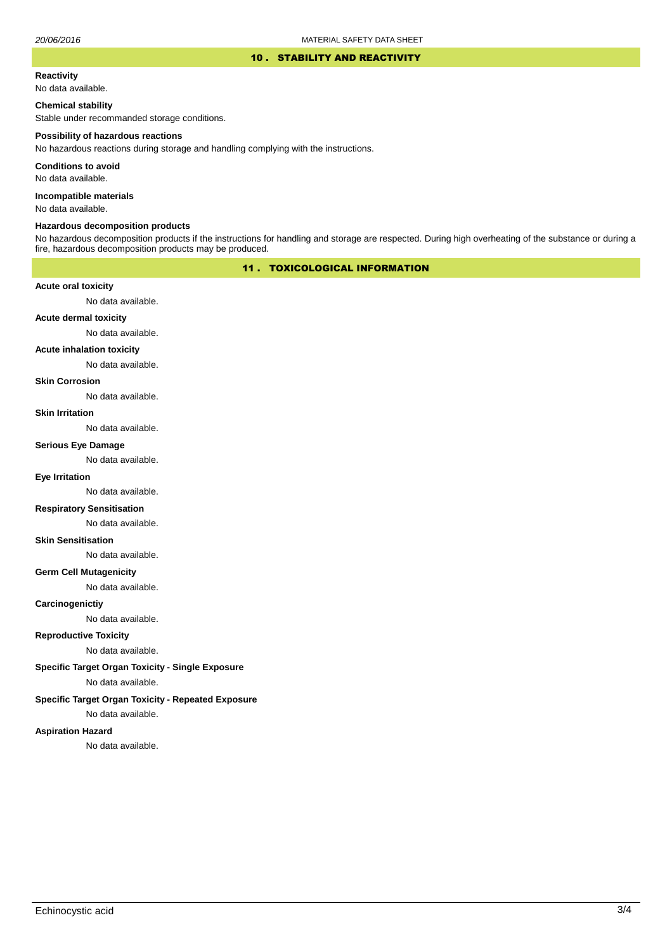#### 10 . STABILITY AND REACTIVITY

#### **Reactivity**

No data available.

### **Chemical stability**

Stable under recommanded storage conditions.

#### **Possibility of hazardous reactions**

No hazardous reactions during storage and handling complying with the instructions.

**Conditions to avoid**

No data available.

**Incompatible materials**

No data available.

#### **Hazardous decomposition products**

No hazardous decomposition products if the instructions for handling and storage are respected. During high overheating of the substance or during a fire, hazardous decomposition products may be produced.

## 11 . TOXICOLOGICAL INFORMATION

### **Acute oral toxicity**

No data available.

## **Acute dermal toxicity**

No data available.

### **Acute inhalation toxicity**

No data available.

### **Skin Corrosion**

No data available.

#### **Skin Irritation**

No data available.

## **Serious Eye Damage**

No data available.

## **Eye Irritation**

No data available.

### **Respiratory Sensitisation**

No data available.

#### **Skin Sensitisation**

No data available.

### **Germ Cell Mutagenicity**

No data available.

### **Carcinogenictiy**

No data available.

## **Reproductive Toxicity**

No data available.

## **Specific Target Organ Toxicity - Single Exposure**

No data available.

### **Specific Target Organ Toxicity - Repeated Exposure**

No data available.

#### **Aspiration Hazard**

No data available.